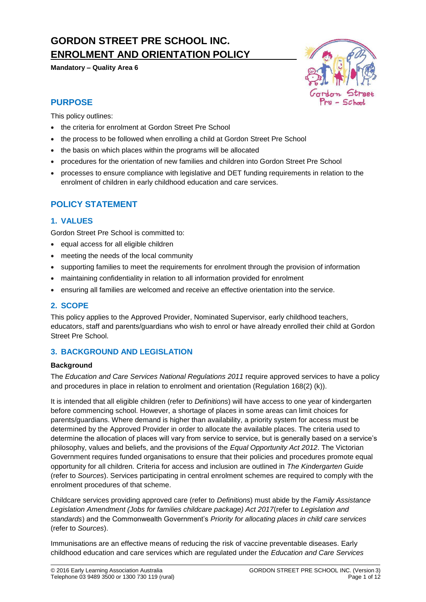# **GORDON STREET PRE SCHOOL INC. ENROLMENT AND ORIENTATION POLICY**

**Mandatory – Quality Area 6**



### **PURPOSE**

This policy outlines:

- the criteria for enrolment at Gordon Street Pre School
- the process to be followed when enrolling a child at Gordon Street Pre School
- the basis on which places within the programs will be allocated
- procedures for the orientation of new families and children into Gordon Street Pre School
- processes to ensure compliance with legislative and DET funding requirements in relation to the enrolment of children in early childhood education and care services.

## **POLICY STATEMENT**

### **1. VALUES**

Gordon Street Pre School is committed to:

- equal access for all eligible children
- meeting the needs of the local community
- supporting families to meet the requirements for enrolment through the provision of information
- maintaining confidentiality in relation to all information provided for enrolment
- ensuring all families are welcomed and receive an effective orientation into the service.

### **2. SCOPE**

This policy applies to the Approved Provider, Nominated Supervisor, early childhood teachers, educators, staff and parents/guardians who wish to enrol or have already enrolled their child at Gordon Street Pre School.

### **3. BACKGROUND AND LEGISLATION**

#### **Background**

The *Education and Care Services National Regulations 2011* require approved services to have a policy and procedures in place in relation to enrolment and orientation (Regulation 168(2) (k)).

It is intended that all eligible children (refer to *Definitions*) will have access to one year of kindergarten before commencing school. However, a shortage of places in some areas can limit choices for parents/guardians. Where demand is higher than availability, a priority system for access must be determined by the Approved Provider in order to allocate the available places. The criteria used to determine the allocation of places will vary from service to service, but is generally based on a service's philosophy, values and beliefs, and the provisions of the *Equal Opportunity Act 2012*. The Victorian Government requires funded organisations to ensure that their policies and procedures promote equal opportunity for all children. Criteria for access and inclusion are outlined in *The Kindergarten Guide*  (refer to *Sources*). Services participating in central enrolment schemes are required to comply with the enrolment procedures of that scheme.

Childcare services providing approved care (refer to *Definitions*) must abide by the *Family Assistance Legislation Amendment (Jobs for families childcare package) Act 2017*(refer to *Legislation and standards*) and the Commonwealth Government's *Priority for allocating places in child care services*  (refer to *Sources*).

Immunisations are an effective means of reducing the risk of vaccine preventable diseases. Early childhood education and care services which are regulated under the *Education and Care Services*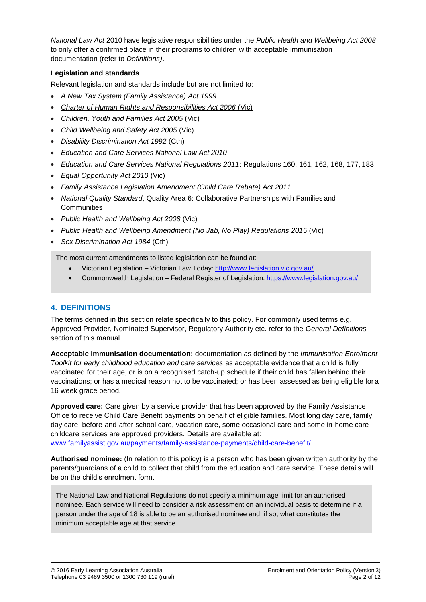*National Law Act* 2010 have legislative responsibilities under the *Public Health and Wellbeing Act 2008*  to only offer a confirmed place in their programs to children with acceptable immunisation documentation (refer to *Definitions)*.

#### **Legislation and standards**

Relevant legislation and standards include but are not limited to:

- *A New Tax System (Family Assistance) Act 1999*
- *[Charter of Human Rights and Responsibilities Act 2006](http://www.legislation.vic.gov.au/Domino/Web_Notes/LDMS/PubStatbook.nsf/f932b66241ecf1b7ca256e92000e23be/54d73763ef9dca36ca2571b6002428b0!OpenDocument)* (Vic)
- *Children, Youth and Families Act 2005* (Vic)
- *Child Wellbeing and Safety Act 2005* (Vic)
- *Disability Discrimination Act 1992* (Cth)
- *Education and Care Services National Law Act 2010*
- *Education and Care Services National Regulations 2011*: Regulations 160, 161, 162, 168, 177, 183
- *Equal Opportunity Act 2010* (Vic)
- *Family Assistance Legislation Amendment (Child Care Rebate) Act 2011*
- *National Quality Standard*, Quality Area 6: Collaborative Partnerships with Families and **Communities**
- *Public Health and Wellbeing Act 2008* (Vic)
- *Public Health and Wellbeing Amendment (No Jab, No Play) Regulations 2015* (Vic)
- *Sex Discrimination Act 1984* (Cth)

The most current amendments to listed legislation can be found at:

- Victorian Legislation Victorian Law Today: <http://www.legislation.vic.gov.au/>
- Commonwealth Legislation Federal Register of Legislation: <https://www.legislation.gov.au/>

### **4. DEFINITIONS**

The terms defined in this section relate specifically to this policy. For commonly used terms e.g. Approved Provider, Nominated Supervisor, Regulatory Authority etc. refer to the *General Definitions*  section of this manual.

**Acceptable immunisation documentation:** documentation as defined by the *Immunisation Enrolment Toolkit for early childhood education and care services* as acceptable evidence that a child is fully vaccinated for their age, or is on a recognised catch-up schedule if their child has fallen behind their vaccinations; or has a medical reason not to be vaccinated; or has been assessed as being eligible for a 16 week grace period.

**Approved care:** Care given by a service provider that has been approved by the Family Assistance Office to receive Child Care Benefit payments on behalf of eligible families. Most long day care, family day care, before-and-after school care, vacation care, some occasional care and some in-home care childcare services are approved providers. Details are available at: [www.familyassist.gov.au/payments/family-assistance-payments/child-care-benefit/](http://www.familyassist.gov.au/payments/family-assistance-payments/child-care-benefit/)

**Authorised nominee:** (In relation to this policy) is a person who has been given written authority by the parents/guardians of a child to collect that child from the education and care service. These details will be on the child's enrolment form.

The National Law and National Regulations do not specify a minimum age limit for an authorised nominee. Each service will need to consider a risk assessment on an individual basis to determine if a person under the age of 18 is able to be an authorised nominee and, if so, what constitutes the minimum acceptable age at that service.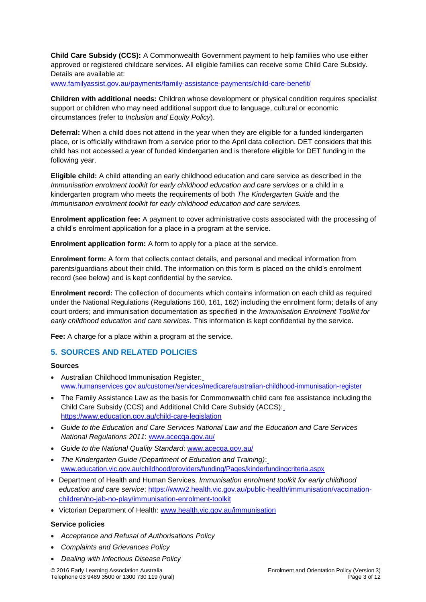**Child Care Subsidy (CCS):** A Commonwealth Government payment to help families who use either approved or registered childcare services. All eligible families can receive some Child Care Subsidy. Details are available at:

[www.familyassist.gov.au/payments/family-assistance-payments/child-care-benefit/](http://www.familyassist.gov.au/payments/family-assistance-payments/child-care-benefit/)

**Children with additional needs:** Children whose development or physical condition requires specialist support or children who may need additional support due to language, cultural or economic circumstances (refer to *Inclusion and Equity Policy*).

**Deferral:** When a child does not attend in the year when they are eligible for a funded kindergarten place, or is officially withdrawn from a service prior to the April data collection. DET considers that this child has not accessed a year of funded kindergarten and is therefore eligible for DET funding in the following year.

**Eligible child:** A child attending an early childhood education and care service as described in the *Immunisation enrolment toolkit for early childhood education and care services or a child in a* kindergarten program who meets the requirements of both *The Kindergarten Guide* and the *Immunisation enrolment toolkit for early childhood education and care services.*

**Enrolment application fee:** A payment to cover administrative costs associated with the processing of a child's enrolment application for a place in a program at the service.

**Enrolment application form:** A form to apply for a place at the service.

**Enrolment form:** A form that collects contact details, and personal and medical information from parents/guardians about their child. The information on this form is placed on the child's enrolment record (see below) and is kept confidential by the service.

**Enrolment record:** The collection of documents which contains information on each child as required under the National Regulations (Regulations 160, 161, 162) including the enrolment form; details of any court orders; and immunisation documentation as specified in the *Immunisation Enrolment Toolkit for early childhood education and care services*. This information is kept confidential by the service.

**Fee:** A charge for a place within a program at the service.

### **5. SOURCES AND RELATED POLICIES**

#### **Sources**

- Australian Childhood Immunisation Register: [www.humanservices.gov.au/customer/services/medicare/australian-childhood-immunisation-register](http://www.humanservices.gov.au/customer/services/medicare/australian-childhood-immunisation-register)
- The Family Assistance Law as the basis for Commonwealth child care fee assistance including the Child Care Subsidy (CCS) and Additional Child Care Subsidy (ACCS): <https://www.education.gov.au/child-care-legislation>
- *Guide to the Education and Care Services National Law and the Education and Care Services National Regulations 2011*: [www.acecqa.gov.au/](http://www.acecqa.gov.au/)
- *Guide to the National Quality Standard*: [www.acecqa.gov.au/](http://www.acecqa.gov.au/)
- *The Kindergarten Guide (Department of Education and Training)*: [www.education.vic.gov.au/childhood/providers/funding/Pages/kinderfundingcriteria.aspx](http://www.education.vic.gov.au/childhood/providers/funding/Pages/kinderfundingcriteria.aspx)
- Department of Health and Human Services, *Immunisation enrolment toolkit for early childhood education and care service*: [https://www2.health.vic.gov.au/public-health/immunisation/vaccination](https://www2.health.vic.gov.au/public-health/immunisation/vaccination-children/no-jab-no-play/immunisation-enrolment-toolkit)[children/no-jab-no-play/immunisation-enrolment-toolkit](https://www2.health.vic.gov.au/public-health/immunisation/vaccination-children/no-jab-no-play/immunisation-enrolment-toolkit)
- Victorian Department of Health: [www.health.vic.gov.au/immunisation](http://www.health.vic.gov.au/immunisation)

#### **Service policies**

- *Acceptance and Refusal of Authorisations Policy*
- *Complaints and Grievances Policy*
- *Dealing with Infectious Disease Policy*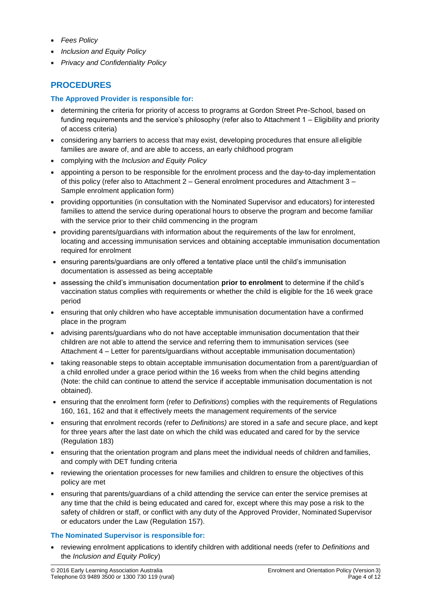- *Fees Policy*
- *Inclusion and Equity Policy*
- *Privacy and Confidentiality Policy*

## **PROCEDURES**

#### **The Approved Provider is responsible for:**

- determining the criteria for priority of access to programs at Gordon Street Pre-School, based on funding requirements and the service's philosophy (refer also to Attachment 1 – Eligibility and priority of access criteria)
- considering any barriers to access that may exist, developing procedures that ensure alleligible families are aware of, and are able to access, an early childhood program
- complying with the *Inclusion and Equity Policy*
- appointing a person to be responsible for the enrolment process and the day-to-day implementation of this policy (refer also to Attachment 2 – General enrolment procedures and Attachment 3 – Sample enrolment application form)
- providing opportunities (in consultation with the Nominated Supervisor and educators) for interested families to attend the service during operational hours to observe the program and become familiar with the service prior to their child commencing in the program
- providing parents/guardians with information about the requirements of the law for enrolment, locating and accessing immunisation services and obtaining acceptable immunisation documentation required for enrolment
- ensuring parents/guardians are only offered a tentative place until the child's immunisation documentation is assessed as being acceptable
- assessing the child's immunisation documentation **prior to enrolment** to determine if the child's vaccination status complies with requirements or whether the child is eligible for the 16 week grace period
- ensuring that only children who have acceptable immunisation documentation have a confirmed place in the program
- advising parents/guardians who do not have acceptable immunisation documentation that their children are not able to attend the service and referring them to immunisation services (see Attachment 4 – Letter for parents/guardians without acceptable immunisation documentation)
- taking reasonable steps to obtain acceptable immunisation documentation from a parent/guardian of a child enrolled under a grace period within the 16 weeks from when the child begins attending (Note: the child can continue to attend the service if acceptable immunisation documentation is not obtained).
- ensuring that the enrolment form (refer to *Definitions*) complies with the requirements of Regulations 160, 161, 162 and that it effectively meets the management requirements of the service
- ensuring that enrolment records (refer to *Definitions)* are stored in a safe and secure place, and kept for three years after the last date on which the child was educated and cared for by the service (Regulation 183)
- ensuring that the orientation program and plans meet the individual needs of children and families, and comply with DET funding criteria
- reviewing the orientation processes for new families and children to ensure the objectives of this policy are met
- ensuring that parents/guardians of a child attending the service can enter the service premises at any time that the child is being educated and cared for, except where this may pose a risk to the safety of children or staff, or conflict with any duty of the Approved Provider, Nominated Supervisor or educators under the Law (Regulation 157).

### **The Nominated Supervisor is responsible for:**

• reviewing enrolment applications to identify children with additional needs (refer to *Definitions* and the *Inclusion and Equity Policy*)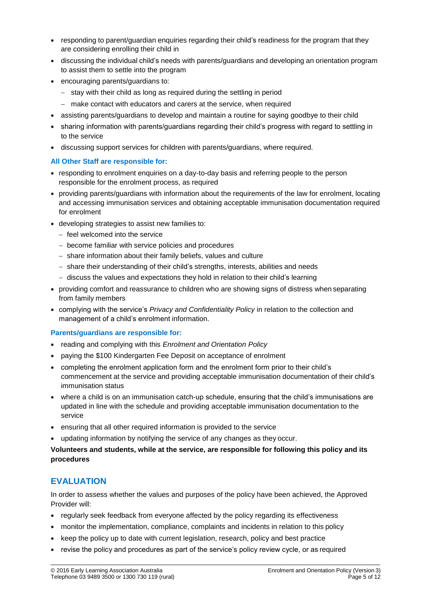- responding to parent/guardian enquiries regarding their child's readiness for the program that they are considering enrolling their child in
- discussing the individual child's needs with parents/guardians and developing an orientation program to assist them to settle into the program
- encouraging parents/guardians to:
	- − stay with their child as long as required during the settling in period
	- − make contact with educators and carers at the service, when required
- assisting parents/guardians to develop and maintain a routine for saying goodbye to their child
- sharing information with parents/guardians regarding their child's progress with regard to settling in to the service
- discussing support services for children with parents/guardians, where required.

#### **All Other Staff are responsible for:**

- responding to enrolment enquiries on a day-to-day basis and referring people to the person responsible for the enrolment process, as required
- providing parents/guardians with information about the requirements of the law for enrolment, locating and accessing immunisation services and obtaining acceptable immunisation documentation required for enrolment
- developing strategies to assist new families to:
	- − feel welcomed into the service
	- − become familiar with service policies and procedures
	- − share information about their family beliefs, values and culture
	- − share their understanding of their child's strengths, interests, abilities and needs
	- − discuss the values and expectations they hold in relation to their child's learning
- providing comfort and reassurance to children who are showing signs of distress when separating from family members
- complying with the service's *Privacy and Confidentiality Policy* in relation to the collection and management of a child's enrolment information.

#### **Parents/guardians are responsible for:**

- reading and complying with this *Enrolment and Orientation Policy*
- paying the \$100 Kindergarten Fee Deposit on acceptance of enrolment
- completing the enrolment application form and the enrolment form prior to their child's commencement at the service and providing acceptable immunisation documentation of their child's immunisation status
- where a child is on an immunisation catch-up schedule, ensuring that the child's immunisations are updated in line with the schedule and providing acceptable immunisation documentation to the service
- ensuring that all other required information is provided to the service
- updating information by notifying the service of any changes as they occur.

#### **Volunteers and students, while at the service, are responsible for following this policy and its procedures**

### **EVALUATION**

In order to assess whether the values and purposes of the policy have been achieved, the Approved Provider will:

- regularly seek feedback from everyone affected by the policy regarding its effectiveness
- monitor the implementation, compliance, complaints and incidents in relation to this policy
- keep the policy up to date with current legislation, research, policy and best practice
- revise the policy and procedures as part of the service's policy review cycle, or as required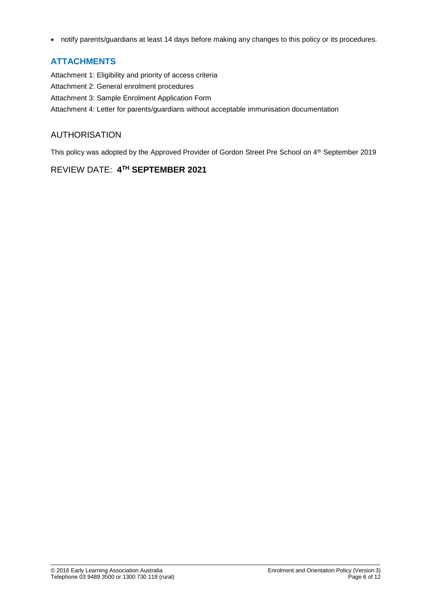• notify parents/guardians at least 14 days before making any changes to this policy or its procedures.

## **ATTACHMENTS**

Attachment 1: Eligibility and priority of access criteria Attachment 2: General enrolment procedures Attachment 3: Sample Enrolment Application Form Attachment 4: Letter for parents/guardians without acceptable immunisation documentation

## AUTHORISATION

This policy was adopted by the Approved Provider of Gordon Street Pre School on 4<sup>th</sup> September 2019

### REVIEW DATE: **4 TH SEPTEMBER 2021**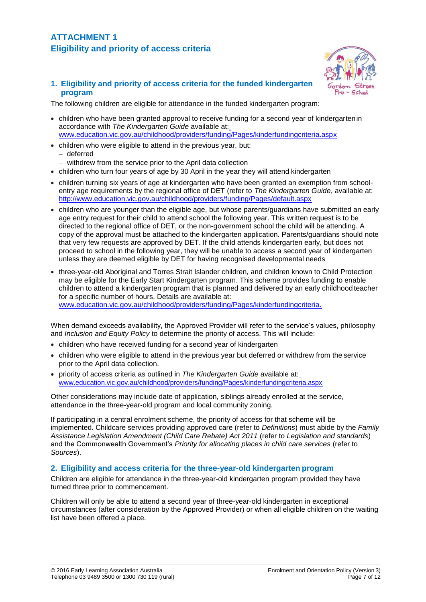**1. Eligibility and priority of access criteria for the funded kindergarten program**

The following children are eligible for attendance in the funded kindergarten program:

- children who have been granted approval to receive funding for a second year of kindergartenin accordance with *The Kindergarten Guide* available at: [www.education.vic.gov.au/childhood/providers/funding/Pages/kinderfundingcriteria.aspx](http://www.education.vic.gov.au/childhood/providers/funding/Pages/kinderfundingcriteria.aspx)
- children who were eligible to attend in the previous year, but: − deferred
	- − withdrew from the service prior to the April data collection
- children who turn four years of age by 30 April in the year they will attend kindergarten
- children turning six years of age at kindergarten who have been granted an exemption from schoolentry age requirements by the regional office of DET (refer to *The Kindergarten Guide*, available at: <http://www.education.vic.gov.au/childhood/providers/funding/Pages/default.aspx>
- children who are younger than the eligible age, but whose parents/guardians have submitted an early age entry request for their child to attend school the following year. This written request is to be directed to the regional office of DET, or the non-government school the child will be attending. A copy of the approval must be attached to the kindergarten application. Parents/guardians should note that very few requests are approved by DET. If the child attends kindergarten early, but does not proceed to school in the following year, they will be unable to access a second year of kindergarten unless they are deemed eligible by DET for having recognised developmental needs
- three-year-old Aboriginal and Torres Strait Islander children, and children known to Child Protection may be eligible for the Early Start Kindergarten program. This scheme provides funding to enable children to attend a kindergarten program that is planned and delivered by an early childhood teacher for a specific number of hours. Details are available at: [www.education.vic.gov.au/childhood/providers/funding/Pages/kinderfundingcriteria.](http://www.education.vic.gov.au/childhood/providers/funding/Pages/kinderfundingcriteria)

When demand exceeds availability, the Approved Provider will refer to the service's values, philosophy and *Inclusion and Equity Policy* to determine the priority of access. This will include:

- children who have received funding for a second year of kindergarten
- children who were eligible to attend in the previous year but deferred or withdrew from the service prior to the April data collection.
- priority of access criteria as outlined in *The Kindergarten Guide* available at: [www.education.vic.gov.au/childhood/providers/funding/Pages/kinderfundingcriteria.aspx](http://www.education.vic.gov.au/childhood/providers/funding/Pages/kinderfundingcriteria.aspx)

Other considerations may include date of application, siblings already enrolled at the service, attendance in the three-year-old program and local community zoning.

If participating in a central enrolment scheme, the priority of access for that scheme will be implemented. Childcare services providing approved care (refer to *Definitions*) must abide by the *Family Assistance Legislation Amendment (Child Care Rebate) Act 2011* (refer to *Legislation and standards*) and the Commonwealth Government's *Priority for allocating places in child care services* (refer to *Sources*).

#### **2. Eligibility and access criteria for the three-year-old kindergarten program**

Children are eligible for attendance in the three-year-old kindergarten program provided they have turned three prior to commencement.

Children will only be able to attend a second year of three-year-old kindergarten in exceptional circumstances (after consideration by the Approved Provider) or when all eligible children on the waiting list have been offered a place.

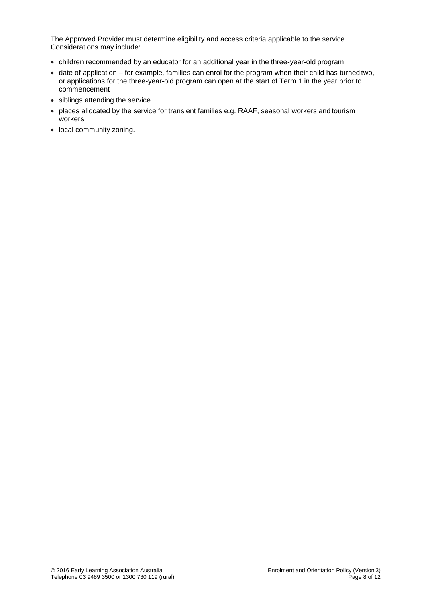The Approved Provider must determine eligibility and access criteria applicable to the service. Considerations may include:

- children recommended by an educator for an additional year in the three-year-old program
- date of application for example, families can enrol for the program when their child has turned two, or applications for the three-year-old program can open at the start of Term 1 in the year prior to commencement
- siblings attending the service
- places allocated by the service for transient families e.g. RAAF, seasonal workers and tourism workers
- local community zoning.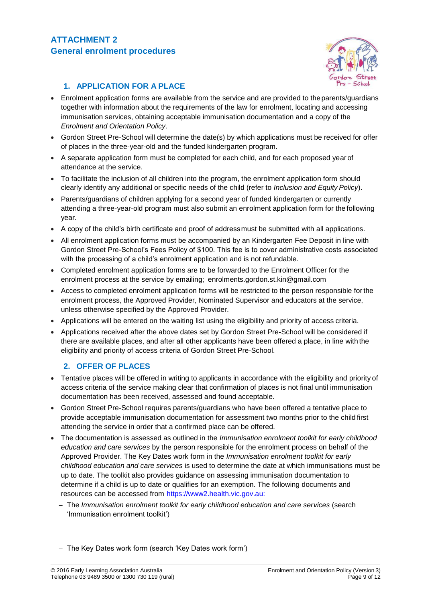

### **1. APPLICATION FOR A PLACE**

- Enrolment application forms are available from the service and are provided to the parents/guardians together with information about the requirements of the law for enrolment, locating and accessing immunisation services, obtaining acceptable immunisation documentation and a copy of the *Enrolment and Orientation Policy*.
- Gordon Street Pre-School will determine the date(s) by which applications must be received for offer of places in the three-year-old and the funded kindergarten program.
- A separate application form must be completed for each child, and for each proposed yearof attendance at the service.
- To facilitate the inclusion of all children into the program, the enrolment application form should clearly identify any additional or specific needs of the child (refer to *Inclusion and Equity Policy*).
- Parents/guardians of children applying for a second year of funded kindergarten or currently attending a three-year-old program must also submit an enrolment application form for the following year.
- A copy of the child's birth certificate and proof of addressmust be submitted with all applications.
- All enrolment application forms must be accompanied by an Kindergarten Fee Deposit in line with Gordon Street Pre-School's Fees Policy of \$100. This fee is to cover administrative costs associated with the processing of a child's enrolment application and is not refundable.
- Completed enrolment application forms are to be forwarded to the Enrolment Officer for the enrolment process at the service by emailing; [enrolments.gordon.st.kin@gmail.com](mailto:enrolments.gordon.st.kin@gmail.com)
- Access to completed enrolment application forms will be restricted to the person responsible for the enrolment process, the Approved Provider, Nominated Supervisor and educators at the service, unless otherwise specified by the Approved Provider.
- Applications will be entered on the waiting list using the eligibility and priority of access criteria.
- Applications received after the above dates set by Gordon Street Pre-School will be considered if there are available places, and after all other applicants have been offered a place, in line with the eligibility and priority of access criteria of Gordon Street Pre-School.

### **2. OFFER OF PLACES**

- Tentative places will be offered in writing to applicants in accordance with the eligibility and priority of access criteria of the service making clear that confirmation of places is not final until immunisation documentation has been received, assessed and found acceptable.
- Gordon Street Pre-School requires parents/guardians who have been offered a tentative place to provide acceptable immunisation documentation for assessment two months prior to the child first attending the service in order that a confirmed place can be offered.
- The documentation is assessed as outlined in the *Immunisation enrolment toolkit for early childhood education and care services* by the person responsible for the enrolment process on behalf of the Approved Provider. The Key Dates work form in the *Immunisation enrolment toolkit for early childhood education and care services* is used to determine the date at which immunisations must be up to date. The toolkit also provides guidance on assessing immunisation documentation to determine if a child is up to date or qualifies for an exemption. The following documents and resources can be accessed from [https://www2.health.vic.gov.au:](https://www2.health.vic.gov.au/)
	- − The *Immunisation enrolment toolkit for early childhood education and care services* (search 'Immunisation enrolment toolkit')
	- − The Key Dates work form (search 'Key Dates work form')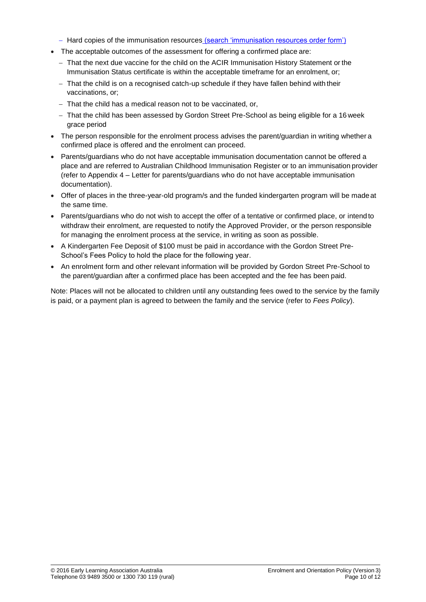- − Hard copies of the immunisation resources (search 'immunisation resources order form')
- The acceptable outcomes of the assessment for offering a confirmed place are:
	- − That the next due vaccine for the child on the ACIR Immunisation History Statement or the Immunisation Status certificate is within the acceptable timeframe for an enrolment, or;
	- − That the child is on a recognised catch-up schedule if they have fallen behind with their vaccinations, or;
	- − That the child has a medical reason not to be vaccinated, or,
	- − That the child has been assessed by Gordon Street Pre-School as being eligible for a 16 week grace period
- The person responsible for the enrolment process advises the parent/guardian in writing whether a confirmed place is offered and the enrolment can proceed.
- Parents/guardians who do not have acceptable immunisation documentation cannot be offered a place and are referred to Australian Childhood Immunisation Register or to an immunisation provider (refer to Appendix 4 – Letter for parents/guardians who do not have acceptable immunisation documentation).
- Offer of places in the three-year-old program/s and the funded kindergarten program will be madeat the same time.
- Parents/guardians who do not wish to accept the offer of a tentative or confirmed place, or intend to withdraw their enrolment, are requested to notify the Approved Provider, or the person responsible for managing the enrolment process at the service, in writing as soon as possible.
- A Kindergarten Fee Deposit of \$100 must be paid in accordance with the Gordon Street Pre-School's Fees Policy to hold the place for the following year.
- An enrolment form and other relevant information will be provided by Gordon Street Pre-School to the parent/guardian after a confirmed place has been accepted and the fee has been paid.

Note: Places will not be allocated to children until any outstanding fees owed to the service by the family is paid, or a payment plan is agreed to between the family and the service (refer to *Fees Policy*).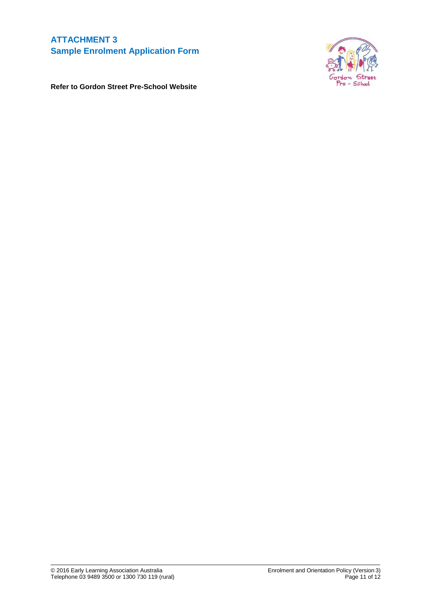## **ATTACHMENT 3 Sample Enrolment Application Form**



**Refer to Gordon Street Pre-School Website**